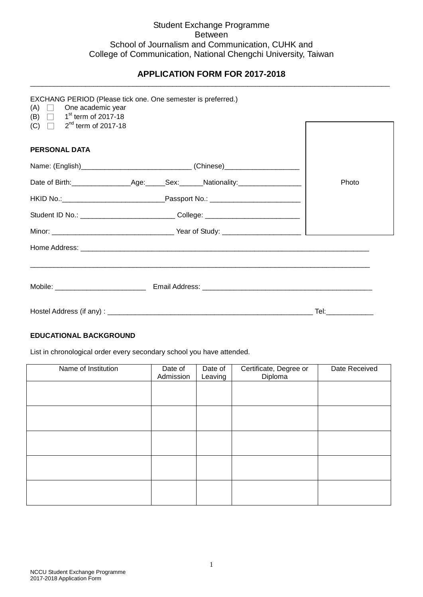## Student Exchange Programme Between School of Journalism and Communication, CUHK and College of Communication, National Chengchi University, Taiwan

#### **APPLICATION FORM FOR 2017-2018** \_\_\_\_\_\_\_\_\_\_\_\_\_\_\_\_\_\_\_\_\_\_\_\_\_\_\_\_\_\_\_\_\_\_\_\_\_\_\_\_\_\_\_\_\_\_\_\_\_\_\_\_\_\_\_\_\_\_\_\_\_\_\_\_\_\_\_\_\_\_\_\_\_\_\_\_\_\_\_\_\_\_\_\_\_\_\_\_\_\_\_

| $(A)$ $\Box$ One academic year<br>(B) $\Box$ 1 <sup>st</sup> term of 2017-18 | EXCHANG PERIOD (Please tick one. One semester is preferred.)                     |       |
|------------------------------------------------------------------------------|----------------------------------------------------------------------------------|-------|
| (C) $\Box$ 2 <sup>nd</sup> term of 2017-18                                   |                                                                                  |       |
| <b>PERSONAL DATA</b>                                                         |                                                                                  |       |
|                                                                              | Name: (English)________________________________(Chinese)________________________ |       |
|                                                                              |                                                                                  | Photo |
|                                                                              |                                                                                  |       |
|                                                                              | Student ID No.: ________________________________College: _______________________ |       |
|                                                                              |                                                                                  |       |
|                                                                              |                                                                                  |       |
|                                                                              |                                                                                  |       |
|                                                                              |                                                                                  |       |
|                                                                              |                                                                                  |       |

## **EDUCATIONAL BACKGROUND**

List in chronological order every secondary school you have attended.

| Name of Institution | Date of<br>Admission | Date of<br>Leaving | Certificate, Degree or<br>Diploma | Date Received |
|---------------------|----------------------|--------------------|-----------------------------------|---------------|
|                     |                      |                    |                                   |               |
|                     |                      |                    |                                   |               |
|                     |                      |                    |                                   |               |
|                     |                      |                    |                                   |               |
|                     |                      |                    |                                   |               |
|                     |                      |                    |                                   |               |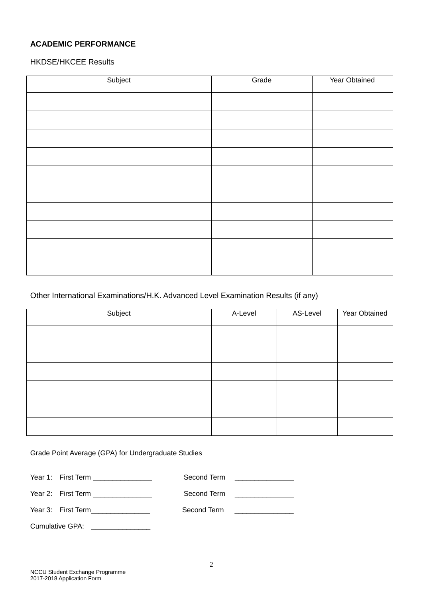# **ACADEMIC PERFORMANCE**

HKDSE/HKCEE Results

| Subject | Grade | Year Obtained |
|---------|-------|---------------|
|         |       |               |
|         |       |               |
|         |       |               |
|         |       |               |
|         |       |               |
|         |       |               |
|         |       |               |
|         |       |               |
|         |       |               |
|         |       |               |
|         |       |               |

# Other International Examinations/H.K. Advanced Level Examination Results (if any)

| Subject | A-Level | AS-Level | Year Obtained |
|---------|---------|----------|---------------|
|         |         |          |               |
|         |         |          |               |
|         |         |          |               |
|         |         |          |               |
|         |         |          |               |
|         |         |          |               |

Grade Point Average (GPA) for Undergraduate Studies

| Year 1: First Term _______________  | Second Term |                                                 |
|-------------------------------------|-------------|-------------------------------------------------|
| Year 2: First Term ________________ | Second Term | the contract of the contract of the contract of |
| Year 3: First Term                  | Second Term |                                                 |

Cumulative GPA: \_\_\_\_\_\_\_\_\_\_\_\_\_\_\_\_\_\_\_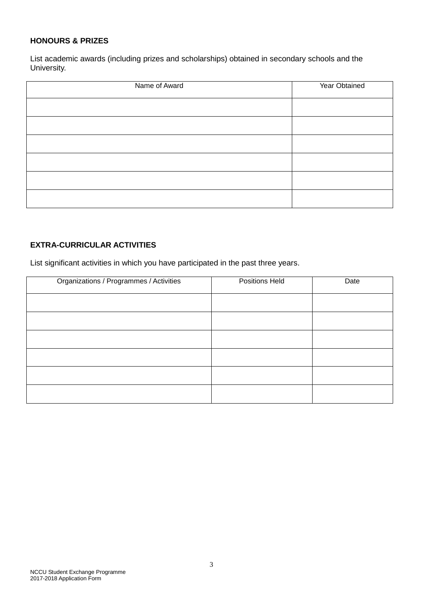### **HONOURS & PRIZES**

List academic awards (including prizes and scholarships) obtained in secondary schools and the University.

| Name of Award | Year Obtained |
|---------------|---------------|
|               |               |
|               |               |
|               |               |
|               |               |
|               |               |
|               |               |

# **EXTRA-CURRICULAR ACTIVITIES**

List significant activities in which you have participated in the past three years.

| Organizations / Programmes / Activities | Positions Held | Date |
|-----------------------------------------|----------------|------|
|                                         |                |      |
|                                         |                |      |
|                                         |                |      |
|                                         |                |      |
|                                         |                |      |
|                                         |                |      |